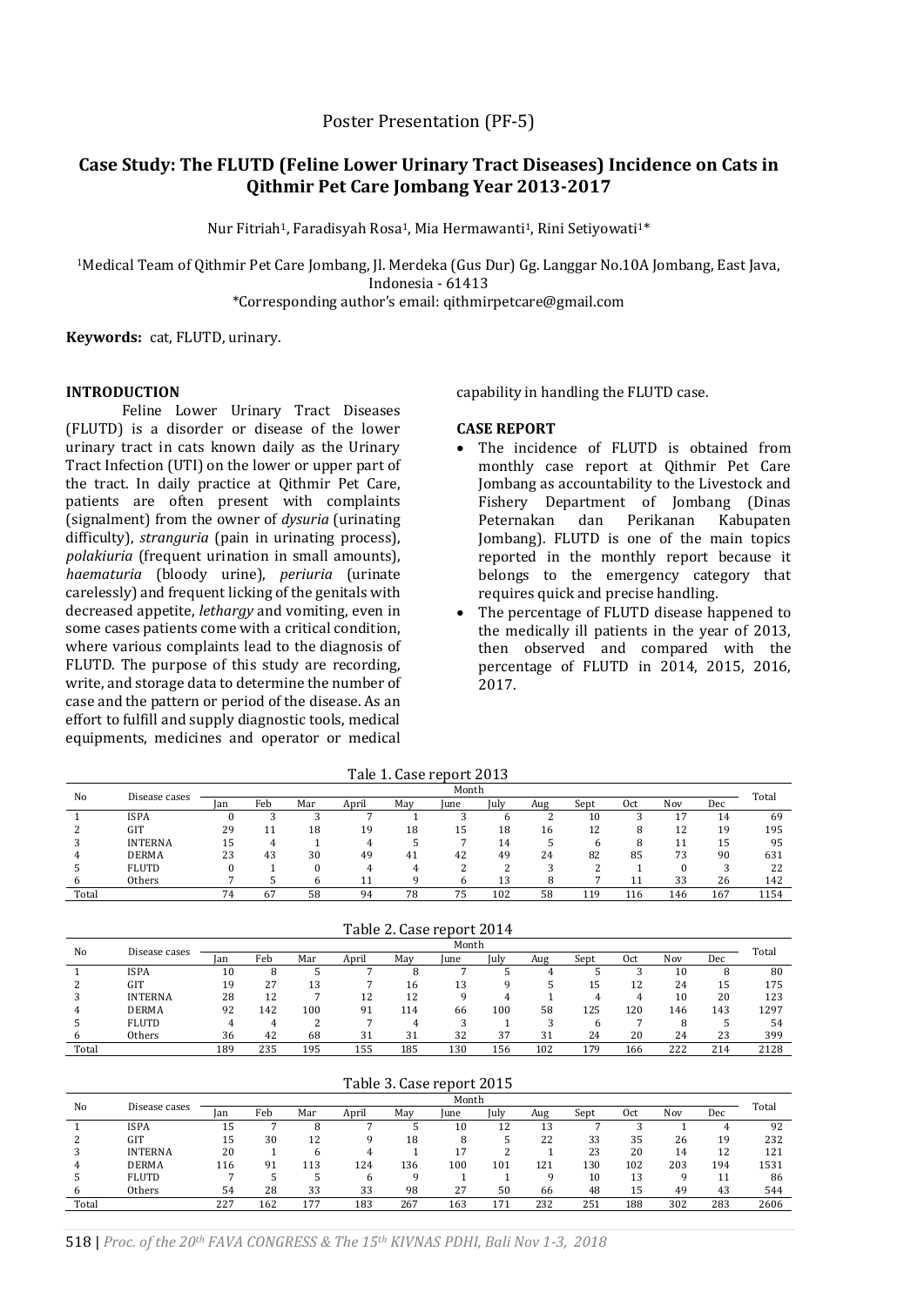# **Case Study: The FLUTD (Feline Lower Urinary Tract Diseases) Incidence on Cats in Qithmir Pet Care Jombang Year 2013-2017**

Nur Fitriah<sup>1</sup>, Faradisyah Rosa<sup>1</sup>, Mia Hermawanti<sup>1</sup>, Rini Setiyowati<sup>1\*</sup>

<sup>1</sup>Medical Team of Qithmir Pet Care Jombang, Jl. Merdeka (Gus Dur) Gg. Langgar No.10A Jombang, East Java, Indonesia - 61413 \*Corresponding author's email: qithmirpetcare@gmail.com

**Keywords:** cat, FLUTD, urinary.

# **INTRODUCTION**

Feline Lower Urinary Tract Diseases (FLUTD) is a disorder or disease of the lower urinary tract in cats known daily as the Urinary Tract Infection (UTI) on the lower or upper part of the tract. In daily practice at Qithmir Pet Care, patients are often present with complaints (signalment) from the owner of *dysuria* (urinating difficulty), *stranguria* (pain in urinating process), *polakiuria* (frequent urination in small amounts), *haematuria* (bloody urine), *periuria* (urinate carelessly) and frequent licking of the genitals with decreased appetite, *lethargy* and vomiting, even in some cases patients come with a critical condition, where various complaints lead to the diagnosis of FLUTD. The purpose of this study are recording, write, and storage data to determine the number of case and the pattern or period of the disease. As an effort to fulfill and supply diagnostic tools, medical equipments, medicines and operator or medical

capability in handling the FLUTD case.

# **CASE REPORT**

- The incidence of FLUTD is obtained from monthly case report at Qithmir Pet Care Jombang as accountability to the Livestock and Fishery Department of Jombang (Dinas Peternakan dan Perikanan Kabupaten Jombang). FLUTD is one of the main topics reported in the monthly report because it belongs to the emergency category that requires quick and precise handling.
- The percentage of FLUTD disease happened to the medically ill patients in the year of 2013, then observed and compared with the percentage of FLUTD in 2014, 2015, 2016, 2017.

|       |                |       |     |     |       |     | THE I. LASE LEPUIL 4015 |      |     |      |     |     |     |       |
|-------|----------------|-------|-----|-----|-------|-----|-------------------------|------|-----|------|-----|-----|-----|-------|
| No    |                | Month |     |     |       |     |                         |      |     |      |     |     |     |       |
|       | Disease cases  | lan   | Feb | Mar | April | May | June                    | July | Aug | Sept | 0ct | Nov | Dec | Total |
|       | <b>ISPA</b>    |       |     |     |       |     |                         |      |     | 10   |     | דו  | 14  | 69    |
|       | GIT            | 29    |     | 18  | 19    | 18  | 15                      | 18   | 16  | 12   |     | 12  | 19  | 195   |
|       | <b>INTERNA</b> | 15    |     |     |       |     |                         | 14   |     |      |     |     | 15  | 95    |
|       | <b>DERMA</b>   | 23    | 43  | 30  | 49    | 41  | 42                      | 49   | 24  | 82   | 85  | 73  | 90  | 631   |
|       | <b>FLUTD</b>   |       |     |     |       |     |                         |      |     |      |     |     |     | 22    |
|       | Others         |       |     |     |       |     |                         | 13   | 8   |      | 11  | 33  | 26  | 142   |
| Total |                | 74    | 67  | 58  | 94    | 78  | 75                      | 102  | 58  | 119  | 116 | 146 | 167 | 1154  |

Tale 1. Case report 2013

| Table 2. Case report 2014 |                |     |     |     |       |     |       |      |     |      |     |     |     |       |
|---------------------------|----------------|-----|-----|-----|-------|-----|-------|------|-----|------|-----|-----|-----|-------|
| No                        | Disease cases  |     |     |     |       |     | Month |      |     |      |     |     |     | Total |
|                           |                | lan | Feb | Mar | April | May | lune  | July | Aug | Sept | 0ct | Nov | Dec |       |
|                           | <b>ISPA</b>    | 10  |     |     |       |     |       |      |     |      |     | 10  |     | 80    |
|                           | GIT            | 19  | 27  | 13  |       | 16  | 13    | q    |     | 15   | 12  | 24  | 15  | 175   |
|                           | <b>INTERNA</b> | 28  | 12  |     | 12    | 12  |       |      |     |      |     | 10  | 20  | 123   |
|                           | <b>DERMA</b>   | 92  | 142 | 100 | 91    | 114 | 66    | 100  | 58  | 125  | 120 | 146 | 143 | 1297  |
|                           | <b>FLUTD</b>   | 4   |     |     |       |     |       |      |     | h    |     |     |     | 54    |
|                           | Others         | 36  | 42  | 68  | 31    | 31  | 32    | 37   | 31  | 24   | 20  | 24  | 23  | 399   |
| Total                     |                | 189 | 235 | 195 | 155   | 185 | 130   | 156  | 102 | 179  | 166 | 222 | 214 | 2128  |

|       |                |       |     |     |       |     | Table 3. Case report 2015 |      |     |      |     |     |     |       |
|-------|----------------|-------|-----|-----|-------|-----|---------------------------|------|-----|------|-----|-----|-----|-------|
| No    | Disease cases  | Month |     |     |       |     |                           |      |     |      |     |     |     |       |
|       |                | Jan   | Feb | Mar | April | May | lune                      | July | Aug | Sept | 0ct | Nov | Dec | Total |
|       | ISPA           | 15    |     |     |       |     | 10                        | 12   | 13  |      |     |     | 4   | 92    |
|       | <b>GIT</b>     | 15    | 30  | 12  |       | 18  |                           |      | 22  | 33   | 35  | 26  | 19  | 232   |
|       | <b>INTERNA</b> | 20    |     | h   |       |     |                           |      |     | 23   | 20  | 14  | 12  | 121   |
|       | <b>DERMA</b>   | 116   | 91  | 113 | 124   | 136 | 100                       | 101  | 121 | 130  | 102 | 203 | 194 | 1531  |
|       | <b>FLUTD</b>   |       |     |     |       |     |                           |      |     | 10   | 13  |     | 11  | 86    |
|       | Others         | 54    | 28  | 33  | 33    | 98  | 27                        | 50   | 66  | 48   | 15  | 49  | 43  | 544   |
| Total |                | 227   | 162 | 177 | 183   | 267 | 163                       | 171  | 232 | 251  | 188 | 302 | 283 | 2606  |

 $T_1$ ,  $\alpha$   $\beta$   $\beta$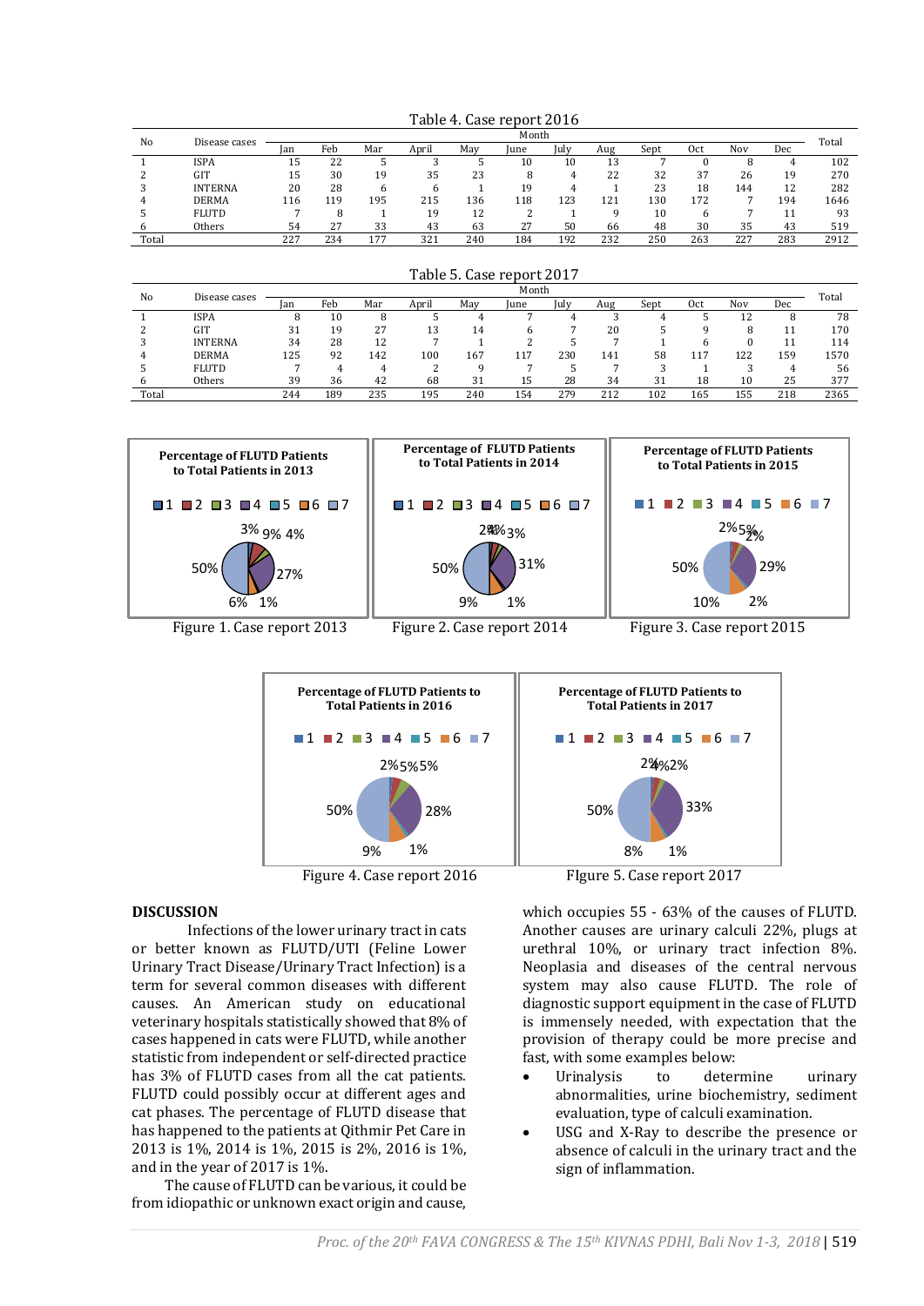| No    |                | Month<br>Disease cases |     |     |       |     |      |      |          |      |     |     |     | Total |
|-------|----------------|------------------------|-----|-----|-------|-----|------|------|----------|------|-----|-----|-----|-------|
|       |                | lan                    | Feb | Mar | April | May | June | July | Aug      | Sept | 0ct | Nov | Dec |       |
|       | ISPA           | 15                     | 22  |     |       |     | 10   | 10   | 12<br>⊥∪ |      |     |     |     | 102   |
|       | GIT            | 15                     | 30  | 19  | 35    | 23  |      | 4    | 22       | 32   | 37  | 26  | 19  | 270   |
|       | <b>INTERNA</b> | 20                     | 28  |     |       |     | 19   |      |          | 23   | 18  | 144 | 12  | 282   |
|       | <b>DERMA</b>   | 116                    | 119 | 195 | 215   | 136 | 118  | 123  | 121      | 130  | 172 |     | 194 | 1646  |
|       | <b>FLUTD</b>   |                        |     |     | 19    | 12  |      |      |          | 10   |     |     | 11  | 93    |
|       | Others         | 54                     | 27  | 33  | 43    | 63  | 27   | 50   | 66       | 48   | 30  | 35  | 43  | 519   |
| Total |                | 227                    | 234 | 177 | 321   | 240 | 184  | 192  | 232      | 250  | 263 | 227 | 283 | 2912  |

Table 4. Case report 2016

| No    | Disease cases  |     |     |     |       |     | Month |      |     |      |     |     |     | Total |
|-------|----------------|-----|-----|-----|-------|-----|-------|------|-----|------|-----|-----|-----|-------|
|       |                | lan | Feb | Mar | April | May | Iune  | July | Aug | Sept | 0ct | Nov | Dec |       |
|       | <b>ISPA</b>    |     | 10  | 8   |       |     |       |      |     |      |     | 17  | 8   | 78    |
|       | GIT            | 31  | 19  | 27  | 13    | 14  | h     |      | 20  |      |     |     |     | 170   |
|       | <b>INTERNA</b> | 34  | 28  | 12  |       |     |       |      |     |      |     |     | 11  | 114   |
|       | <b>DERMA</b>   | 125 | 92  | 142 | 100   | 167 | 117   | 230  | 141 | 58   | 117 | 122 | 159 | 1570  |
|       | <b>FLUTD</b>   |     |     |     |       |     |       |      |     |      |     |     |     | 56    |
| h     | Others         | 39  | 36  | 42  | 68    | 31  | 15    | 28   | 34  | 31   | 18  | 10  | 25  | 377   |
| Total |                | 244 | 189 | 235 | 195   | 240 | 154   | 279  | 212 | 102  | 165 | 155 | 218 | 2365  |
|       |                |     |     |     |       |     |       |      |     |      |     |     |     |       |

Table 5. Case report 2017





### **DISCUSSION**

Infections of the lower urinary tract in cats or better known as FLUTD/UTI (Feline Lower Urinary Tract Disease/Urinary Tract Infection) is a term for several common diseases with different causes. An American study on educational veterinary hospitals statistically showed that 8% of cases happened in cats were FLUTD, while another statistic from independent or self-directed practice has 3% of FLUTD cases from all the cat patients. FLUTD could possibly occur at different ages and cat phases. The percentage of FLUTD disease that has happened to the patients at Qithmir Pet Care in 2013 is 1%, 2014 is 1%, 2015 is 2%, 2016 is 1%, and in the year of 2017 is 1%.

The cause of FLUTD can be various, it could be from idiopathic or unknown exact origin and cause,

which occupies 55 - 63% of the causes of FLUTD. Another causes are urinary calculi 22%, plugs at urethral 10%, or urinary tract infection 8%. Neoplasia and diseases of the central nervous system may also cause FLUTD. The role of diagnostic support equipment in the case of FLUTD is immensely needed, with expectation that the provision of therapy could be more precise and fast, with some examples below:

- Urinalysis to determine urinary abnormalities, urine biochemistry, sediment evaluation, type of calculi examination.
- USG and X-Ray to describe the presence or absence of calculi in the urinary tract and the sign of inflammation.